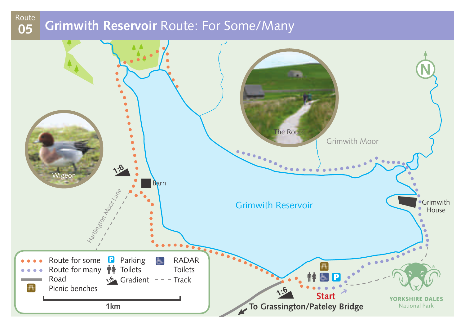## **Grimwith Reservoir** Route: For Some/Many **<sup>05</sup>** Route